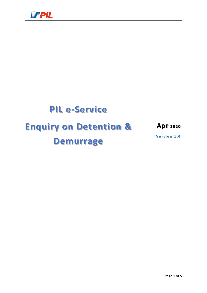

## **PIL e-Service**

# **Enquiry on Detention &**

## **Demurrage**

**Apr 2 0 2 0**

**Version 1.0**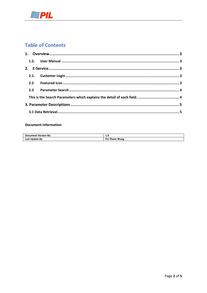

### **Table of Contents**

#### **Document Information**

| <b>Document Version No.</b> | 1.U        |
|-----------------------------|------------|
| Last                        | Pei        |
| Undate By                   | Theen Wong |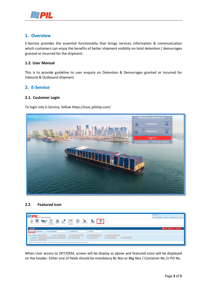

#### <span id="page-2-0"></span>**1. Overview**

E-Service provides the essential functionality that brings services information & communication which customers can enjoy the benefits of better shipment visibility on total detention / demurrages granted or incurred for the shipment.

#### <span id="page-2-1"></span>**1.2. User Manual**

This is to provide guideline to user enquiry on Detention & Demurrages granted or incurred for Inbound & Outbound shipment.

#### <span id="page-2-2"></span>**2. E-Service**

#### <span id="page-2-3"></span>**2.1. Customer Login**

To login into E-Service, follow https://esvc.pilship.com/



#### <span id="page-2-4"></span>**2.2 Featured Icon**

| <b>SPIL</b>                                                                                                                                                                                                                                                                            | Welcome                                                   |  |
|----------------------------------------------------------------------------------------------------------------------------------------------------------------------------------------------------------------------------------------------------------------------------------------|-----------------------------------------------------------|--|
| Our Promise, Your Satisfaction                                                                                                                                                                                                                                                         | Terms And Conditions  Contact Us  Change Password  Logout |  |
| <b>qi</b><br>$\bigoplus_{\scriptscriptstyle{\mathsf{B}}\mathsf{Print}}$<br>u<br>ョ<br>5<br>$\frac{1}{\sqrt{2}}$<br>ጹ<br>r.<br>ともん<br>⊕<br><b>BL</b> Terms &<br>Shipping<br><b>SOLAS-VGM</b><br>Admin<br>Booking<br>Schedule<br>Inbound<br>DetDem<br>Agency<br>Conditions<br>Instruction |                                                           |  |
| Det/Dem                                                                                                                                                                                                                                                                                | C Search C Reset L Download                               |  |
| BL No. Or BKG No.<br>Outbound<br>Container No.<br>P/O No.<br>$\bullet$ Inbound                                                                                                                                                                                                         |                                                           |  |
| BL No. Or BKG No.<br>VVD CD.<br>ATD.<br>ATA.<br>ATB.                                                                                                                                                                                                                                   |                                                           |  |
| POR.<br>POL.<br>POD.<br><b>DEL</b><br>Vessel Name.                                                                                                                                                                                                                                     |                                                           |  |
| <b>Total Bill Amt:</b>                                                                                                                                                                                                                                                                 |                                                           |  |
| Disclaimer: Billable amount on screen it is for information, for actual amount please contact local agency for final amount.                                                                                                                                                           |                                                           |  |
|                                                                                                                                                                                                                                                                                        |                                                           |  |

When User access to DET/DEM, screen will be display as above and featured icons will be displayed on the header. Either one of fields should be mandatory BL Nos or Bkg Nos / Container No /n PO No.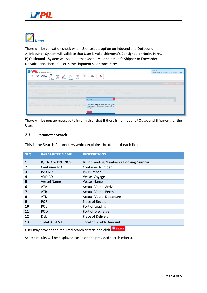



There will be validation check when User selects option on Inbound and Outbound. A) Inbound - System will validate that User is valid shipment's Consignee or Notify Party. B) Outbound - System will validate that User is valid shipment's Shipper or Forwarder. No validation check if User is the shipment's Contract Party.



There will be pop up message to inform User that if there is no Inbound/ Outbound Shipment for the User.

#### <span id="page-3-0"></span>**2.3 Parameter Search**

<span id="page-3-1"></span>This is the Search Parameters which explains the detail of each field.

| SEQ.           | <b>PARAMETER NAME</b> | <b>DESCRIPTIONS</b>                      |
|----------------|-----------------------|------------------------------------------|
| $\mathbf{1}$   | B/L NO or BKG NOS     | Bill of Landing Number or Booking Number |
| $\overline{2}$ | Container NO          | <b>Container Number</b>                  |
| 3              | P/O NO                | <b>PO Number</b>                         |
| 4              | VVD CD                | Vessel Voyage                            |
| 5              | <b>Vessel Name</b>    | <b>Vessel Name</b>                       |
| 6              | ATA                   | <b>Actual Vessel Arrival</b>             |
| 7              | ATB                   | <b>Actual Vessel Berth</b>               |
| 8              | <b>ATD</b>            | <b>Actual Vessel Departure</b>           |
| 9              | <b>POR</b>            | Place of Receipt                         |
| 10             | <b>POL</b>            | Port of Loading                          |
| 11             | <b>POD</b>            | Port of Discharge                        |
| 12             | <b>DEL</b>            | Place of Delivery                        |
| 13             | <b>Total Bill AMT</b> | <b>Total of Billable Amount</b>          |

User may provide the required search criteria and click **C** search

Search results will be displayed based on the provided search criteria.